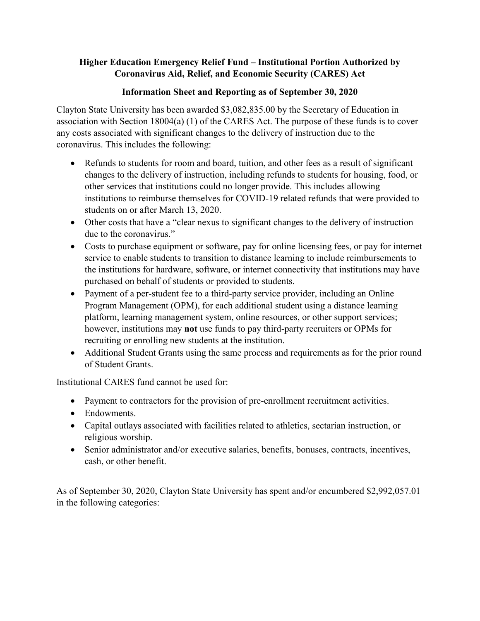## **Higher Education Emergency Relief Fund – Institutional Portion Authorized by Coronavirus Aid, Relief, and Economic Security (CARES) Act**

## **Information Sheet and Reporting as of September 30, 2020**

Clayton State University has been awarded \$3,082,835.00 by the Secretary of Education in association with Section 18004(a) (1) of the CARES Act. The purpose of these funds is to cover any costs associated with significant changes to the delivery of instruction due to the coronavirus. This includes the following:

- Refunds to students for room and board, tuition, and other fees as a result of significant changes to the delivery of instruction, including refunds to students for housing, food, or other services that institutions could no longer provide. This includes allowing institutions to reimburse themselves for COVID-19 related refunds that were provided to students on or after March 13, 2020.
- Other costs that have a "clear nexus to significant changes to the delivery of instruction due to the coronavirus."
- Costs to purchase equipment or software, pay for online licensing fees, or pay for internet service to enable students to transition to distance learning to include reimbursements to the institutions for hardware, software, or internet connectivity that institutions may have purchased on behalf of students or provided to students.
- Payment of a per-student fee to a third-party service provider, including an Online Program Management (OPM), for each additional student using a distance learning platform, learning management system, online resources, or other support services; however, institutions may **not** use funds to pay third-party recruiters or OPMs for recruiting or enrolling new students at the institution.
- Additional Student Grants using the same process and requirements as for the prior round of Student Grants.

Institutional CARES fund cannot be used for:

- Payment to contractors for the provision of pre-enrollment recruitment activities.
- Endowments.
- Capital outlays associated with facilities related to athletics, sectarian instruction, or religious worship.
- Senior administrator and/or executive salaries, benefits, bonuses, contracts, incentives, cash, or other benefit.

As of September 30, 2020, Clayton State University has spent and/or encumbered \$2,992,057.01 in the following categories: